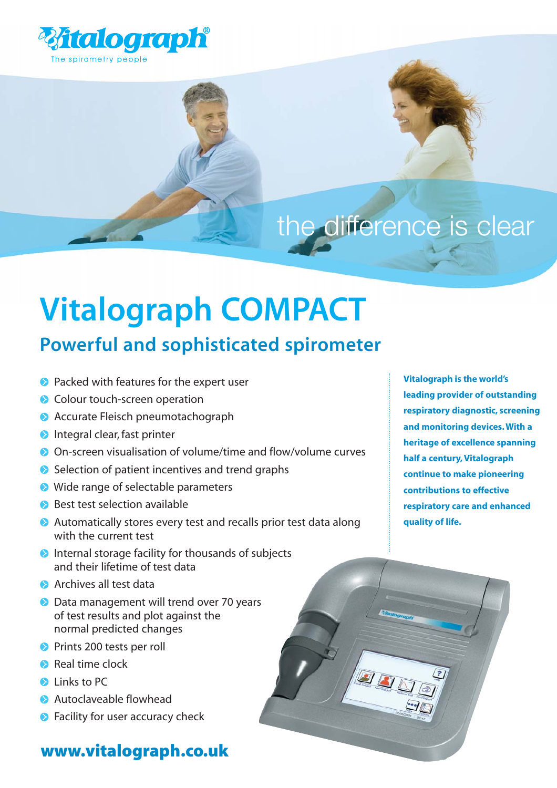

## the difference is clear

99

# **Vitalograph COMPACT**

## **Powerful and sophisticated spirometer**

- **•** Packed with features for the expert user
- Colour touch-screen operation
- Accurate Fleisch pneumotachograph
- **Integral clear, fast printer**
- On-screen visualisation of volume/time and flow/volume curves
- **■** Selection of patient incentives and trend graphs
- Wide range of selectable parameters
- $\bullet$  Best test selection available
- Automatically stores every test and recalls prior test data along with the current test
- **O** Internal storage facility for thousands of subjects and their lifetime of test data
- **Archives all test data**
- **Data management will trend over 70 years** of test results and plot against the normal predicted changes
- **Prints 200 tests per roll**
- **Real time clock**
- **D** Links to PC
- **Autoclaveable flowhead**
- **•** Facility for user accuracy check

### www.vitalograph.co.uk

**Vitalograph is the world's leading provider of outstanding respiratory diagnostic, screening and monitoring devices. With a heritage of excellence spanning half a century, Vitalograph continue to make pioneering contributions to effective respiratory care and enhanced quality of life.**